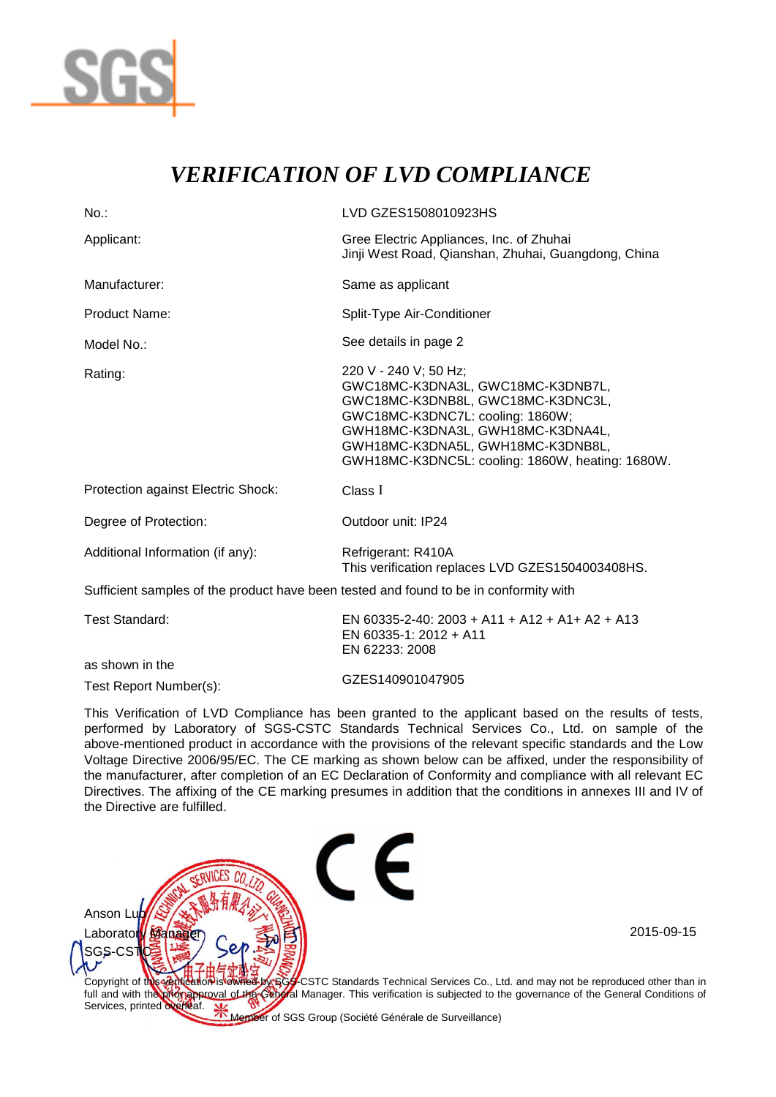

## *VERIFICATION OF LVD COMPLIANCE*

| $No.$ :                                                                               | LVD GZES1508010923HS                                                                                                                                                                                                                                              |
|---------------------------------------------------------------------------------------|-------------------------------------------------------------------------------------------------------------------------------------------------------------------------------------------------------------------------------------------------------------------|
| Applicant:                                                                            | Gree Electric Appliances, Inc. of Zhuhai<br>Jinji West Road, Qianshan, Zhuhai, Guangdong, China                                                                                                                                                                   |
| Manufacturer:                                                                         | Same as applicant                                                                                                                                                                                                                                                 |
| Product Name:                                                                         | Split-Type Air-Conditioner                                                                                                                                                                                                                                        |
| Model No.:                                                                            | See details in page 2                                                                                                                                                                                                                                             |
| Rating:                                                                               | 220 V - 240 V; 50 Hz;<br>GWC18MC-K3DNA3L, GWC18MC-K3DNB7L,<br>GWC18MC-K3DNB8L, GWC18MC-K3DNC3L,<br>GWC18MC-K3DNC7L: cooling: 1860W;<br>GWH18MC-K3DNA3L, GWH18MC-K3DNA4L,<br>GWH18MC-K3DNA5L, GWH18MC-K3DNB8L,<br>GWH18MC-K3DNC5L: cooling: 1860W, heating: 1680W. |
| Protection against Electric Shock:                                                    | Class I                                                                                                                                                                                                                                                           |
| Degree of Protection:                                                                 | Outdoor unit: IP24                                                                                                                                                                                                                                                |
| Additional Information (if any):                                                      | Refrigerant: R410A<br>This verification replaces LVD GZES1504003408HS.                                                                                                                                                                                            |
| Sufficient samples of the product have been tested and found to be in conformity with |                                                                                                                                                                                                                                                                   |
| <b>Test Standard:</b>                                                                 | EN 60335-2-40: 2003 + A11 + A12 + A1+ A2 + A13<br>EN 60335-1: 2012 + A11<br>EN 62233: 2008                                                                                                                                                                        |
| as shown in the                                                                       |                                                                                                                                                                                                                                                                   |

Test Report Number(s): GZES140901047905

This Verification of LVD Compliance has been granted to the applicant based on the results of tests, performed by Laboratory of SGS-CSTC Standards Technical Services Co., Ltd. on sample of the above-mentioned product in accordance with the provisions of the relevant specific standards and the Low Voltage Directive 2006/95/EC. The CE marking as shown below can be affixed, under the responsibility of the manufacturer, after completion of an EC Declaration of Conformity and compliance with all relevant EC Directives. The affixing of the CE marking presumes in addition that the conditions in annexes III and IV of the Directive are fulfilled.



Member of SGS Group (Société Générale de Surveillance)